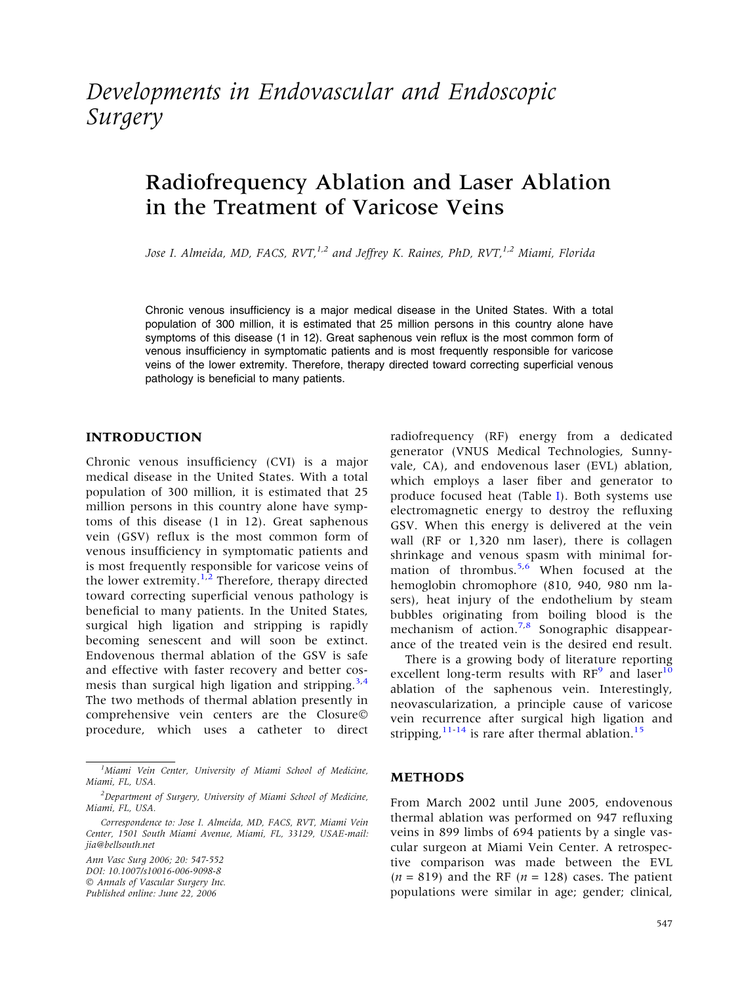# *Developments in Endovascular and Endoscopic Surgery*

# Radiofrequency Ablation and Laser Ablation in the Treatment of Varicose Veins

*Jose I. Almeida, MD, FACS, RVT,1,2 and Jeffrey K. Raines, PhD, RVT,1,2 Miami, Florida*

Chronic venous insufficiency is a major medical disease in the United States. With a total population of 300 million, it is estimated that 25 million persons in this country alone have symptoms of this disease (1 in 12). Great saphenous vein reflux is the most common form of venous insufficiency in symptomatic patients and is most frequently responsible for varicose veins of the lower extremity. Therefore, therapy directed toward correcting superficial venous pathology is beneficial to many patients.

## INTRODUCTION

Chronic venous insufficiency (CVI) is a major medical disease in the United States. With a total population of 300 million, it is estimated that 25 million persons in this country alone have symptoms of this disease (1 in 12). Great saphenous vein (GSV) reflux is the most common form of venous insufficiency in symptomatic patients and is most frequently responsible for varicose veins of the lower extremity.<sup>[1,2](#page-4-0)</sup> Therefore, therapy directed toward correcting superficial venous pathology is beneficial to many patients. In the United States, surgical high ligation and stripping is rapidly becoming senescent and will soon be extinct. Endovenous thermal ablation of the GSV is safe and effective with faster recovery and better cos-mesis than surgical high ligation and stripping.<sup>[3,4](#page-4-0)</sup> The two methods of thermal ablation presently in comprehensive vein centers are the Closure procedure, which uses a catheter to direct

*Ann Vasc Surg 2006; 20: 547-552 DOI: 10.1007/s10016-006-9098-8 Annals of Vascular Surgery Inc. Published online: June 22, 2006*

radiofrequency (RF) energy from a dedicated generator (VNUS Medical Technologies, Sunnyvale, CA), and endovenous laser (EVL) ablation, which employs a laser fiber and generator to produce focused heat (Table [I\)](#page-1-0). Both systems use electromagnetic energy to destroy the refluxing GSV. When this energy is delivered at the vein wall (RF or 1,320 nm laser), there is collagen shrinkage and venous spasm with minimal for-mation of thrombus.<sup>[5,6](#page-4-0)</sup> When focused at the hemoglobin chromophore (810, 940, 980 nm lasers), heat injury of the endothelium by steam bubbles originating from boiling blood is the mechanism of action.<sup>[7,8](#page-4-0)</sup> Sonographic disappearance of the treated vein is the desired end result.

There is a growing body of literature reporting excellent long-term results with RF<sup>[9](#page-4-0)</sup> and laser<sup>[10](#page-4-0)</sup> ablation of the saphenous vein. Interestingly, neovascularization, a principle cause of varicose vein recurrence after surgical high ligation and stripping,  $11-14$  is rare after thermal ablation.<sup>[15](#page-4-0)</sup>

### METHODS

From March 2002 until June 2005, endovenous thermal ablation was performed on 947 refluxing veins in 899 limbs of 694 patients by a single vascular surgeon at Miami Vein Center. A retrospective comparison was made between the EVL  $(n = 819)$  and the RF  $(n = 128)$  cases. The patient populations were similar in age; gender; clinical,

*<sup>1</sup>Miami Vein Center, University of Miami School of Medicine, Miami, FL, USA.*

*<sup>2</sup>Department of Surgery, University of Miami School of Medicine, Miami, FL, USA.*

*Correspondence to: Jose I. Almeida, MD, FACS, RVT, Miami Vein Center, 1501 South Miami Avenue, Miami, FL, 33129, USAE-mail: jia@bellsouth.net*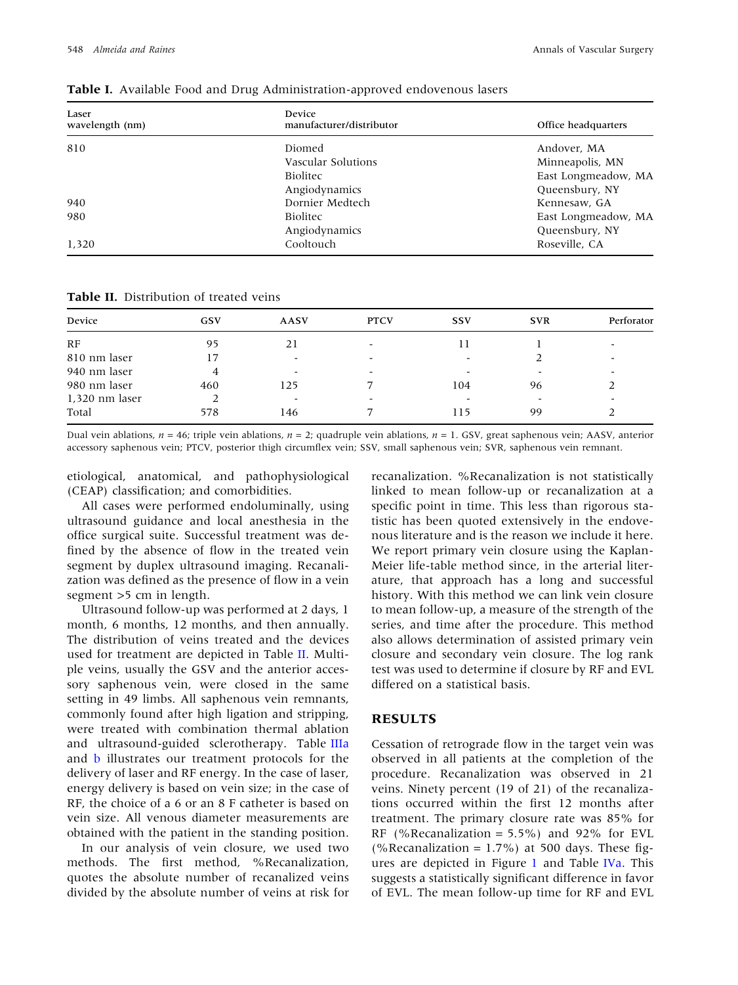| Laser<br>wavelength (nm) | Device<br>manufacturer/distributor | Office headquarters |  |  |
|--------------------------|------------------------------------|---------------------|--|--|
| 810                      | Diomed                             | Andover, MA         |  |  |
|                          | Vascular Solutions                 | Minneapolis, MN     |  |  |
|                          | <b>Biolitec</b>                    | East Longmeadow, MA |  |  |
|                          | Angiodynamics                      | Queensbury, NY      |  |  |
| 940                      | Dornier Medtech                    | Kennesaw, GA        |  |  |
| 980                      | <b>Biolitec</b>                    | East Longmeadow, MA |  |  |
|                          | Angiodynamics                      | Queensbury, NY      |  |  |
| 1,320                    | Cooltouch                          | Roseville, CA       |  |  |

<span id="page-1-0"></span>Table I. Available Food and Drug Administration-approved endovenous lasers

Table II. Distribution of treated veins

| Device           | GSV | AASV                     | <b>PTCV</b>              | <b>SSV</b>               | <b>SVR</b>               | Perforator               |
|------------------|-----|--------------------------|--------------------------|--------------------------|--------------------------|--------------------------|
| RF               | 95  | 21                       | $\overline{\phantom{0}}$ |                          |                          | $\overline{\phantom{a}}$ |
| 810 nm laser     | 17  | $\overline{\phantom{a}}$ | $\overline{\phantom{a}}$ |                          |                          | $\overline{\phantom{0}}$ |
| 940 nm laser     | 4   | $\overline{\phantom{a}}$ | $\overline{\phantom{a}}$ | -                        | $\overline{\phantom{a}}$ | $\overline{\phantom{a}}$ |
| 980 nm laser     | 460 | 125                      |                          | 104                      | 96                       |                          |
| $1,320$ nm laser | 2   | $\overline{\phantom{a}}$ | $\overline{\phantom{0}}$ | $\overline{\phantom{0}}$ | $\overline{\phantom{a}}$ | $\overline{\phantom{0}}$ |
| Total            | 578 | 146                      |                          | 115                      | 99                       |                          |

Dual vein ablations, *n* = 46; triple vein ablations, *n* = 2; quadruple vein ablations, *n* = 1. GSV, great saphenous vein; AASV, anterior accessory saphenous vein; PTCV, posterior thigh circumflex vein; SSV, small saphenous vein; SVR, saphenous vein remnant.

etiological, anatomical, and pathophysiological (CEAP) classification; and comorbidities.

All cases were performed endoluminally, using ultrasound guidance and local anesthesia in the office surgical suite. Successful treatment was defined by the absence of flow in the treated vein segment by duplex ultrasound imaging. Recanalization was defined as the presence of flow in a vein segment >5 cm in length.

Ultrasound follow-up was performed at 2 days, 1 month, 6 months, 12 months, and then annually. The distribution of veins treated and the devices used for treatment are depicted in Table II. Multiple veins, usually the GSV and the anterior accessory saphenous vein, were closed in the same setting in 49 limbs. All saphenous vein remnants, commonly found after high ligation and stripping, were treated with combination thermal ablation and ultrasound-guided sclerotherapy. Table [IIIa](#page-2-0) and [b](#page-2-0) illustrates our treatment protocols for the delivery of laser and RF energy. In the case of laser, energy delivery is based on vein size; in the case of RF, the choice of a 6 or an 8 F catheter is based on vein size. All venous diameter measurements are obtained with the patient in the standing position.

In our analysis of vein closure, we used two methods. The first method, %Recanalization, quotes the absolute number of recanalized veins divided by the absolute number of veins at risk for recanalization. %Recanalization is not statistically linked to mean follow-up or recanalization at a specific point in time. This less than rigorous statistic has been quoted extensively in the endovenous literature and is the reason we include it here. We report primary vein closure using the Kaplan-Meier life-table method since, in the arterial literature, that approach has a long and successful history. With this method we can link vein closure to mean follow-up, a measure of the strength of the series, and time after the procedure. This method also allows determination of assisted primary vein closure and secondary vein closure. The log rank test was used to determine if closure by RF and EVL differed on a statistical basis.

## RESULTS

Cessation of retrograde flow in the target vein was observed in all patients at the completion of the procedure. Recanalization was observed in 21 veins. Ninety percent (19 of 21) of the recanalizations occurred within the first 12 months after treatment. The primary closure rate was 85% for RF (%Recanalization =  $5.5\%$ ) and  $92\%$  for EVL (%Recanalization =  $1.7\%$ ) at 500 days. These figures are depicted in Figure [1](#page-2-0) and Table IVa. This suggests a statistically significant difference in favor of EVL. The mean follow-up time for RF and EVL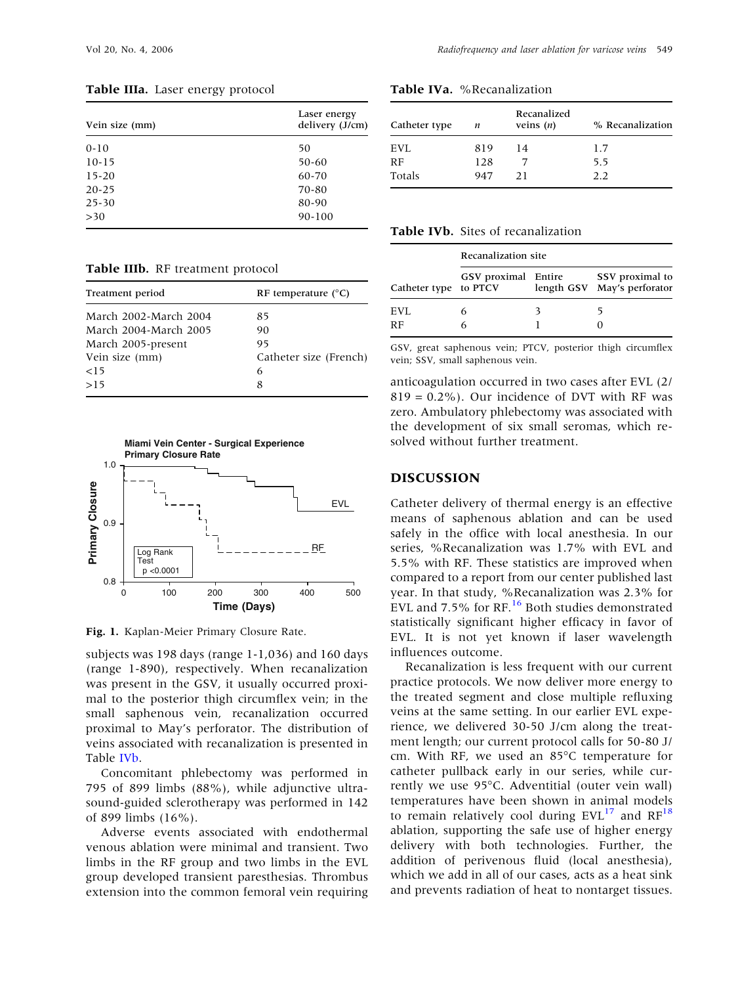| Vein size (mm) | Laser energy<br>delivery (J/cm) |
|----------------|---------------------------------|
| $0 - 10$       | 50                              |
| $10 - 15$      | $50 - 60$                       |
| $15 - 20$      | 60-70                           |
| $20 - 25$      | 70-80                           |
| $25 - 30$      | 80-90                           |
| >30            | $90 - 100$                      |

#### <span id="page-2-0"></span>**Table IIIa.** Laser energy protocol

## Table IVa. %Recanalization

| Catheter type | n   | Recanalized<br>veins $(n)$ | % Recanalization |  |  |
|---------------|-----|----------------------------|------------------|--|--|
| <b>EVL</b>    | 819 | 14                         | 1.7              |  |  |
| <b>RF</b>     | 128 |                            | 5.5              |  |  |
| Totals        | 947 | 21                         | 2.2              |  |  |

### Table IVb. Sites of recanalization

Recanalization site Catheter type GSV proximal to PTCV Entire length GSV SSV proximal to May's perforator EVL 6 3 5 RF 6 1 0

GSV, great saphenous vein; PTCV, posterior thigh circumflex vein; SSV, small saphenous vein.

anticoagulation occurred in two cases after EVL (2/  $819 = 0.2\%$ ). Our incidence of DVT with RF was zero. Ambulatory phlebectomy was associated with the development of six small seromas, which resolved without further treatment.

## DISCUSSION

Catheter delivery of thermal energy is an effective means of saphenous ablation and can be used safely in the office with local anesthesia. In our series, %Recanalization was 1.7% with EVL and 5.5% with RF. These statistics are improved when compared to a report from our center published last year. In that study, %Recanalization was 2.3% for EVL and  $7.5\%$  for RF.<sup>[16](#page-4-0)</sup> Both studies demonstrated statistically significant higher efficacy in favor of EVL. It is not yet known if laser wavelength influences outcome.

Recanalization is less frequent with our current practice protocols. We now deliver more energy to the treated segment and close multiple refluxing veins at the same setting. In our earlier EVL experience, we delivered 30-50 J/cm along the treatment length; our current protocol calls for 50-80 J/ cm. With RF, we used an 85°C temperature for catheter pullback early in our series, while currently we use 95°C. Adventitial (outer vein wall) temperatures have been shown in animal models to remain relatively cool during  $EVL<sup>17</sup>$  $EVL<sup>17</sup>$  $EVL<sup>17</sup>$  and  $RF<sup>18</sup>$  $RF<sup>18</sup>$  $RF<sup>18</sup>$ ablation, supporting the safe use of higher energy delivery with both technologies. Further, the addition of perivenous fluid (local anesthesia), which we add in all of our cases, acts as a heat sink and prevents radiation of heat to nontarget tissues.

Table IIIb. RF treatment protocol

| Treatment period      | RF temperature $(^{\circ}C)$ |
|-----------------------|------------------------------|
| March 2002-March 2004 | 85                           |
| March 2004-March 2005 | 90                           |
| March 2005-present    | 95                           |
| Vein size (mm)        | Catheter size (French)       |
| $<$ 15                | 6                            |
| >15                   | 8                            |
|                       |                              |



Fig. 1. Kaplan-Meier Primary Closure Rate.

subjects was 198 days (range 1-1,036) and 160 days (range 1-890), respectively. When recanalization was present in the GSV, it usually occurred proximal to the posterior thigh circumflex vein; in the small saphenous vein, recanalization occurred proximal to May's perforator. The distribution of veins associated with recanalization is presented in Table IVb.

Concomitant phlebectomy was performed in 795 of 899 limbs (88%), while adjunctive ultrasound-guided sclerotherapy was performed in 142 of 899 limbs (16%).

Adverse events associated with endothermal venous ablation were minimal and transient. Two limbs in the RF group and two limbs in the EVL group developed transient paresthesias. Thrombus extension into the common femoral vein requiring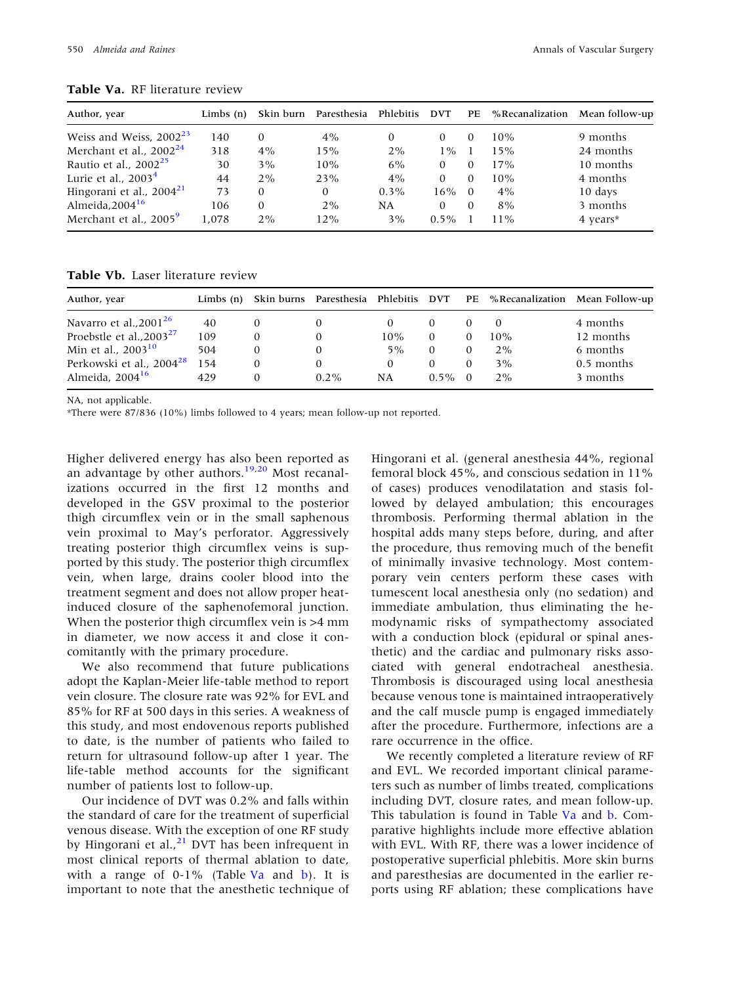| Author, year                        | Limbs $(n)$ |          | Skin burn Paresthesia Phlebitis |         | <b>DVT</b> | PE       | %Recanalization | Mean follow-up |
|-------------------------------------|-------------|----------|---------------------------------|---------|------------|----------|-----------------|----------------|
| Weiss and Weiss, 2002 <sup>23</sup> | 140         | $\Omega$ | 4%                              | 0       | $\Omega$   | $\theta$ | 10%             | 9 months       |
| Merchant et al., $2002^{24}$        | 318         | $4\%$    | 15%                             | $2\%$   | $1\%$      |          | 15%             | 24 months      |
| Rautio et al., 2002 <sup>25</sup>   | 30          | $3\%$    | 10%                             | 6%      | 0          | $\Omega$ | 17%             | 10 months      |
| Lurie et al., $20034$               | 44          | $2\%$    | 23%                             | 4%      | $\Omega$   | $\Omega$ | 10%             | 4 months       |
| Hingorani et al., $2004^{21}$       | 73          | $\Omega$ | $\Omega$                        | $0.3\%$ | $16\%$     | $\Omega$ | 4%              | 10 days        |
| Almeida, $2004^{16}$                | 106         | $\Omega$ | $2\%$                           | NA      | $\Omega$   | $\Omega$ | 8%              | 3 months       |
| Merchant et al., 2005 <sup>9</sup>  | 1.078       | 2%       | 12%                             | $3\%$   | $0.5\%$    |          | $11\%$          | 4 years*       |

### Table Va. RF literature review

Table Vb. Laser literature review

| Author, year                         | Limbs $(n)$ |   | Skin burns Paresthesia Phlebitis DVT |       |          | PE |       | %Recanalization Mean Follow-up |
|--------------------------------------|-------------|---|--------------------------------------|-------|----------|----|-------|--------------------------------|
| Navarro et al., $2001^{26}$          | 40          |   |                                      |       |          |    |       | 4 months                       |
| Proebstle et al., $2003^{27}$        | 109         | 0 | 0                                    | 10%   | $\theta$ |    | 10%   | 12 months                      |
| Min et al., $2003^{10}$              | 504         | 0 | 0                                    | $5\%$ | $\theta$ | 0  | $2\%$ | 6 months                       |
| Perkowski et al., 2004 <sup>28</sup> | 54          | 0 | 0                                    | 0     | $\theta$ |    | 3%    | 0.5 months                     |
| Almeida, $2004^{16}$                 | 429         | 0 | $0.2\%$                              | ΝA    | $0.5\%$  | 0  | 2%    | 3 months                       |

NA, not applicable.

\*There were 87/836 (10%) limbs followed to 4 years; mean follow-up not reported.

Higher delivered energy has also been reported as an advantage by other authors.<sup>[19,20](#page-4-0)</sup> Most recanalizations occurred in the first 12 months and developed in the GSV proximal to the posterior thigh circumflex vein or in the small saphenous vein proximal to May's perforator. Aggressively treating posterior thigh circumflex veins is supported by this study. The posterior thigh circumflex vein, when large, drains cooler blood into the treatment segment and does not allow proper heatinduced closure of the saphenofemoral junction. When the posterior thigh circumflex vein is >4 mm in diameter, we now access it and close it concomitantly with the primary procedure.

We also recommend that future publications adopt the Kaplan-Meier life-table method to report vein closure. The closure rate was 92% for EVL and 85% for RF at 500 days in this series. A weakness of this study, and most endovenous reports published to date, is the number of patients who failed to return for ultrasound follow-up after 1 year. The life-table method accounts for the significant number of patients lost to follow-up.

Our incidence of DVT was 0.2% and falls within the standard of care for the treatment of superficial venous disease. With the exception of one RF study by Hingorani et al., $^{21}$  $^{21}$  $^{21}$  DVT has been infrequent in most clinical reports of thermal ablation to date, with a range of  $0-1\%$  (Table [Va](#page-2-0) and b). It is important to note that the anesthetic technique of Hingorani et al. (general anesthesia 44%, regional femoral block 45%, and conscious sedation in 11% of cases) produces venodilatation and stasis followed by delayed ambulation; this encourages thrombosis. Performing thermal ablation in the hospital adds many steps before, during, and after the procedure, thus removing much of the benefit of minimally invasive technology. Most contemporary vein centers perform these cases with tumescent local anesthesia only (no sedation) and immediate ambulation, thus eliminating the hemodynamic risks of sympathectomy associated with a conduction block (epidural or spinal anesthetic) and the cardiac and pulmonary risks associated with general endotracheal anesthesia. Thrombosis is discouraged using local anesthesia because venous tone is maintained intraoperatively and the calf muscle pump is engaged immediately after the procedure. Furthermore, infections are a rare occurrence in the office.

We recently completed a literature review of RF and EVL. We recorded important clinical parameters such as number of limbs treated, complications including DVT, closure rates, and mean follow-up. This tabulation is found in Table [Va](#page-2-0) and b. Comparative highlights include more effective ablation with EVL. With RF, there was a lower incidence of postoperative superficial phlebitis. More skin burns and paresthesias are documented in the earlier reports using RF ablation; these complications have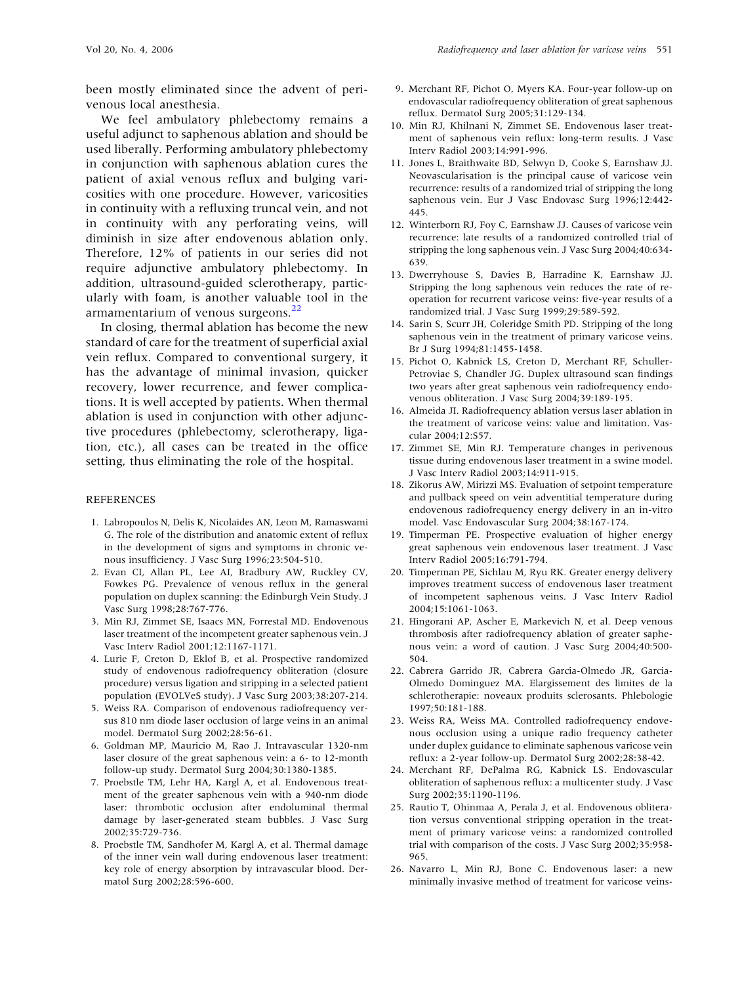<span id="page-4-0"></span>been mostly eliminated since the advent of perivenous local anesthesia.

We feel ambulatory phlebectomy remains a useful adjunct to saphenous ablation and should be used liberally. Performing ambulatory phlebectomy in conjunction with saphenous ablation cures the patient of axial venous reflux and bulging varicosities with one procedure. However, varicosities in continuity with a refluxing truncal vein, and not in continuity with any perforating veins, will diminish in size after endovenous ablation only. Therefore, 12% of patients in our series did not require adjunctive ambulatory phlebectomy. In addition, ultrasound-guided sclerotherapy, particularly with foam, is another valuable tool in the armamentarium of venous surgeons.<sup>22</sup>

In closing, thermal ablation has become the new standard of care for the treatment of superficial axial vein reflux. Compared to conventional surgery, it has the advantage of minimal invasion, quicker recovery, lower recurrence, and fewer complications. It is well accepted by patients. When thermal ablation is used in conjunction with other adjunctive procedures (phlebectomy, sclerotherapy, ligation, etc.), all cases can be treated in the office setting, thus eliminating the role of the hospital.

#### REFERENCES

- 1. Labropoulos N, Delis K, Nicolaides AN, Leon M, Ramaswami G. The role of the distribution and anatomic extent of reflux in the development of signs and symptoms in chronic venous insufficiency. J Vasc Surg 1996;23:504-510.
- 2. Evan CI, Allan PL, Lee AI, Bradbury AW, Ruckley CV, Fowkes PG. Prevalence of venous reflux in the general population on duplex scanning: the Edinburgh Vein Study. J Vasc Surg 1998;28:767-776.
- 3. Min RJ, Zimmet SE, Isaacs MN, Forrestal MD. Endovenous laser treatment of the incompetent greater saphenous vein. J Vasc Interv Radiol 2001;12:1167-1171.
- 4. Lurie F, Creton D, Eklof B, et al. Prospective randomized study of endovenous radiofrequency obliteration (closure procedure) versus ligation and stripping in a selected patient population (EVOLVeS study). J Vasc Surg 2003;38:207-214.
- 5. Weiss RA. Comparison of endovenous radiofrequency versus 810 nm diode laser occlusion of large veins in an animal model. Dermatol Surg 2002;28:56-61.
- 6. Goldman MP, Mauricio M, Rao J. Intravascular 1320-nm laser closure of the great saphenous vein: a 6- to 12-month follow-up study. Dermatol Surg 2004;30:1380-1385.
- 7. Proebstle TM, Lehr HA, Kargl A, et al. Endovenous treatment of the greater saphenous vein with a 940-nm diode laser: thrombotic occlusion after endoluminal thermal damage by laser-generated steam bubbles. J Vasc Surg 2002;35:729-736.
- 8. Proebstle TM, Sandhofer M, Kargl A, et al. Thermal damage of the inner vein wall during endovenous laser treatment: key role of energy absorption by intravascular blood. Dermatol Surg 2002;28:596-600.
- 9. Merchant RF, Pichot O, Myers KA. Four-year follow-up on endovascular radiofrequency obliteration of great saphenous reflux. Dermatol Surg 2005;31:129-134.
- 10. Min RJ, Khilnani N, Zimmet SE. Endovenous laser treatment of saphenous vein reflux: long-term results. J Vasc Interv Radiol 2003;14:991-996.
- 11. Jones L, Braithwaite BD, Selwyn D, Cooke S, Earnshaw JJ. Neovascularisation is the principal cause of varicose vein recurrence: results of a randomized trial of stripping the long saphenous vein. Eur J Vasc Endovasc Surg 1996;12:442- 445.
- 12. Winterborn RJ, Foy C, Earnshaw JJ. Causes of varicose vein recurrence: late results of a randomized controlled trial of stripping the long saphenous vein. J Vasc Surg 2004;40:634- 639.
- 13. Dwerryhouse S, Davies B, Harradine K, Earnshaw JJ. Stripping the long saphenous vein reduces the rate of reoperation for recurrent varicose veins: five-year results of a randomized trial. J Vasc Surg 1999;29:589-592.
- 14. Sarin S, Scurr JH, Coleridge Smith PD. Stripping of the long saphenous vein in the treatment of primary varicose veins. Br J Surg 1994;81:1455-1458.
- 15. Pichot O, Kabnick LS, Creton D, Merchant RF, Schuller-Petroviae S, Chandler JG. Duplex ultrasound scan findings two years after great saphenous vein radiofrequency endovenous obliteration. J Vasc Surg 2004;39:189-195.
- 16. Almeida JI. Radiofrequency ablation versus laser ablation in the treatment of varicose veins: value and limitation. Vascular 2004;12:S57.
- 17. Zimmet SE, Min RJ. Temperature changes in perivenous tissue during endovenous laser treatment in a swine model. J Vasc Interv Radiol 2003;14:911-915.
- 18. Zikorus AW, Mirizzi MS. Evaluation of setpoint temperature and pullback speed on vein adventitial temperature during endovenous radiofrequency energy delivery in an in-vitro model. Vasc Endovascular Surg 2004;38:167-174.
- 19. Timperman PE. Prospective evaluation of higher energy great saphenous vein endovenous laser treatment. J Vasc Interv Radiol 2005;16:791-794.
- 20. Timperman PE, Sichlau M, Ryu RK. Greater energy delivery improves treatment success of endovenous laser treatment of incompetent saphenous veins. J Vasc Interv Radiol 2004;15:1061-1063.
- 21. Hingorani AP, Ascher E, Markevich N, et al. Deep venous thrombosis after radiofrequency ablation of greater saphenous vein: a word of caution. J Vasc Surg 2004;40:500- 504.
- 22. Cabrera Garrido JR, Cabrera Garcia-Olmedo JR, Garcia-Olmedo Dominguez MA. Elargissement des limites de la schlerotherapie: noveaux produits sclerosants. Phlebologie 1997;50:181-188.
- 23. Weiss RA, Weiss MA. Controlled radiofrequency endovenous occlusion using a unique radio frequency catheter under duplex guidance to eliminate saphenous varicose vein reflux: a 2-year follow-up. Dermatol Surg 2002;28:38-42.
- 24. Merchant RF, DePalma RG, Kabnick LS. Endovascular obliteration of saphenous reflux: a multicenter study. J Vasc Surg 2002;35:1190-1196.
- 25. Rautio T, Ohinmaa A, Perala J, et al. Endovenous obliteration versus conventional stripping operation in the treatment of primary varicose veins: a randomized controlled trial with comparison of the costs. J Vasc Surg 2002;35:958- 965.
- 26. Navarro L, Min RJ, Bone C. Endovenous laser: a new minimally invasive method of treatment for varicose veins-